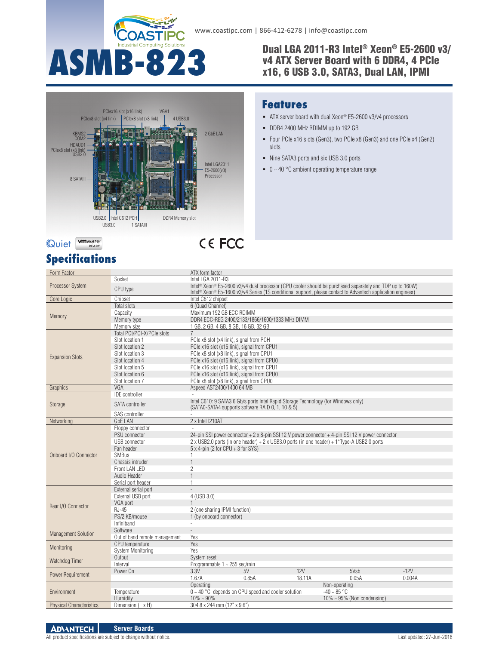

### Dual LGA 2011-R3 Intel® Xeon® E5-2600 v3/ v4 ATX Server Board with 6 DDR4, 4 PCIe x16, 6 USB 3.0, SATA3, Dual LAN, IPMI



### **Features**

- ATX server board with dual Xeon® E5-2600 v3/v4 processors
- DDR4 2400 MHz RDIMM up to 192 GB
- Four PCIe x16 slots (Gen3), two PCIe x8 (Gen3) and one PCIe x4 (Gen2) slots
- Nine SATA3 ports and six USB 3.0 ports
- $\bullet$  0 ~ 40 °C ambient operating temperature range

# **Specifications**

| Form Factor                     |                                                  | ATX form factor                                                                                                                                                                                                                      |                                   |  |  |
|---------------------------------|--------------------------------------------------|--------------------------------------------------------------------------------------------------------------------------------------------------------------------------------------------------------------------------------------|-----------------------------------|--|--|
|                                 | Socket                                           | Intel LGA 2011-R3                                                                                                                                                                                                                    |                                   |  |  |
| <b>Processor System</b>         | CPU type                                         | Intel® Xeon® E5-2600 v3/v4 dual processor (CPU cooler should be purchased separately and TDP up to 160W)<br>Intel <sup>®</sup> Xeon® E5-1600 v3/v4 Series (1S conditional support, please contact to Advantech application engineer) |                                   |  |  |
| Core Logic                      | Chipset                                          | Intel C612 chipset                                                                                                                                                                                                                   |                                   |  |  |
| Memory                          | <b>Total slots</b>                               | 6 (Quad Channel)                                                                                                                                                                                                                     |                                   |  |  |
|                                 | Capacity                                         | Maximum 192 GB ECC RDIMM                                                                                                                                                                                                             |                                   |  |  |
|                                 | Memory type                                      | DDR4 ECC-REG 2400/2133/1866/1600/1333 MHz DIMM                                                                                                                                                                                       |                                   |  |  |
|                                 | Memory size                                      | 1 GB, 2 GB, 4 GB, 8 GB, 16 GB, 32 GB                                                                                                                                                                                                 |                                   |  |  |
|                                 | Total PCI/PCI-X/PCIe slots                       |                                                                                                                                                                                                                                      |                                   |  |  |
|                                 | Slot location 1                                  | PCle x8 slot (x4 link), signal from PCH                                                                                                                                                                                              |                                   |  |  |
|                                 | Slot location 2                                  | PCle x16 slot (x16 link), signal from CPU1                                                                                                                                                                                           |                                   |  |  |
| <b>Expansion Slots</b>          | Slot location 3                                  | PCle x8 slot (x8 link), signal from CPU1                                                                                                                                                                                             |                                   |  |  |
|                                 | Slot location 4                                  | PCle x16 slot (x16 link), signal from CPU0                                                                                                                                                                                           |                                   |  |  |
|                                 | Slot location 5                                  | PCle x16 slot (x16 link), signal from CPU1                                                                                                                                                                                           |                                   |  |  |
|                                 | Slot location 6                                  | PCle x16 slot (x16 link), signal from CPU0                                                                                                                                                                                           |                                   |  |  |
|                                 | Slot location 7                                  | PCle x8 slot (x8 link), signal from CPU0                                                                                                                                                                                             |                                   |  |  |
| Graphics                        | VGA                                              | Aspeed AST2400/1400 64 MB                                                                                                                                                                                                            |                                   |  |  |
|                                 | <b>IDE</b> controller                            |                                                                                                                                                                                                                                      |                                   |  |  |
| Storage                         | <b>SATA</b> controller                           | Intel C610: 9 SATA3 6 Gb/s ports Intel Rapid Storage Technology (for Windows only)<br>(SATAO-SATA4 supports software RAID 0, 1, 10 & 5)                                                                                              |                                   |  |  |
|                                 | SAS controller                                   |                                                                                                                                                                                                                                      |                                   |  |  |
| Networking                      | <b>GbE LAN</b>                                   | 2 x Intel I210AT                                                                                                                                                                                                                     |                                   |  |  |
|                                 | Floppy connector                                 |                                                                                                                                                                                                                                      |                                   |  |  |
|                                 | PSU connector                                    | 24-pin SSI power connector + 2 x 8-pin SSI 12 V power connector + 4-pin SSI 12 V power connector                                                                                                                                     |                                   |  |  |
|                                 | <b>USB</b> connector                             | 2 x USB2.0 ports (in one header) + 2 x USB3.0 ports (in one header) + 1*Type-A USB2.0 ports                                                                                                                                          |                                   |  |  |
|                                 | Fan header                                       | $5 \times 4$ -pin (2 for CPU + 3 for SYS)                                                                                                                                                                                            |                                   |  |  |
| Onboard I/O Connector           | <b>SMBus</b>                                     | $\mathbf{1}$                                                                                                                                                                                                                         |                                   |  |  |
|                                 | Chassis intruder                                 |                                                                                                                                                                                                                                      |                                   |  |  |
|                                 | Front LAN LED                                    | $\overline{2}$                                                                                                                                                                                                                       |                                   |  |  |
|                                 | Audio Header                                     | $\overline{1}$                                                                                                                                                                                                                       |                                   |  |  |
|                                 | Serial port header                               | 1                                                                                                                                                                                                                                    |                                   |  |  |
|                                 | External serial port                             |                                                                                                                                                                                                                                      |                                   |  |  |
|                                 | External USB port                                | 4 (USB 3.0)                                                                                                                                                                                                                          |                                   |  |  |
| Rear I/O Connector              | VGA port                                         |                                                                                                                                                                                                                                      |                                   |  |  |
|                                 | $RJ-45$                                          | 2 (one sharing IPMI function)                                                                                                                                                                                                        |                                   |  |  |
|                                 | PS/2 KB/mouse                                    | 1 (by onboard connector)                                                                                                                                                                                                             |                                   |  |  |
|                                 | Infiniband<br>Software                           |                                                                                                                                                                                                                                      |                                   |  |  |
| <b>Management Solution</b>      |                                                  |                                                                                                                                                                                                                                      |                                   |  |  |
|                                 | Out of band remote management<br>CPU temperature | Yes<br>Yes                                                                                                                                                                                                                           |                                   |  |  |
| Monitoring                      | System Monitoring                                | Yes                                                                                                                                                                                                                                  |                                   |  |  |
|                                 | Output                                           | System reset                                                                                                                                                                                                                         |                                   |  |  |
| Watchdog Timer                  | Interval                                         | Programmable 1 ~ 255 sec/min                                                                                                                                                                                                         |                                   |  |  |
| Power Requirement               | Power On                                         | 5V<br>12V<br>3.3V                                                                                                                                                                                                                    | 5Vsb<br>$-12V$                    |  |  |
|                                 |                                                  | 1.67A<br>0.85A<br>18.11A                                                                                                                                                                                                             | 0.05A<br>0.004A                   |  |  |
| Environment                     |                                                  | Operating                                                                                                                                                                                                                            | Non-operating                     |  |  |
|                                 | Temperature                                      | $0 \sim 40$ °C, depends on CPU speed and cooler solution                                                                                                                                                                             | $-40 \sim 85$ °C                  |  |  |
|                                 | Humidity                                         | $10\% \sim 90\%$                                                                                                                                                                                                                     | $10\% \sim 95\%$ (Non condensing) |  |  |
| <b>Physical Characteristics</b> | Dimension (L x H)                                | 304.8 x 244 mm (12" x 9.6")                                                                                                                                                                                                          |                                   |  |  |
|                                 |                                                  |                                                                                                                                                                                                                                      |                                   |  |  |

#### **Server Boards ADVANTECH**

### All product specifications are subject to change without notice. Last updated: 27-Jun-2018